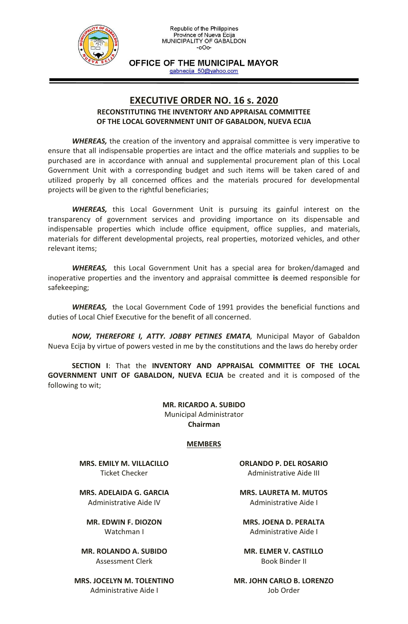

OFFICE OF THE MUNICIPAL MAYOR gabnecija 50@yahoo.com

## **EXECUTIVE ORDER NO. 16 s. 2020**

## **RECONSTITUTING THE INVENTORY AND APPRAISAL COMMITTEE OF THE LOCAL GOVERNMENT UNIT OF GABALDON, NUEVA ECIJA**

*WHEREAS,* the creation of the inventory and appraisal committee is very imperative to ensure that all indispensable properties are intact and the office materials and supplies to be purchased are in accordance with annual and supplemental procurement plan of this Local Government Unit with a corresponding budget and such items will be taken cared of and utilized properly by all concerned offices and the materials procured for developmental projects will be given to the rightful beneficiaries;

*WHEREAS,* this Local Government Unit is pursuing its gainful interest on the transparency of government services and providing importance on its dispensable and indispensable properties which include office equipment, office supplies, and materials, materials for different developmental projects, real properties, motorized vehicles, and other relevant items;

*WHEREAS,* this Local Government Unit has a special area for broken/damaged and inoperative properties and the inventory and appraisal committee **is** deemed responsible for safekeeping;

*WHEREAS,* the Local Government Code of 1991 provides the beneficial functions and duties of Local Chief Executive for the benefit of all concerned.

*NOW, THEREFORE I, ATTY. JOBBY PETINES EMATA,* Municipal Mayor of Gabaldon Nueva Ecija by virtue of powers vested in me by the constitutions and the laws do hereby order

**SECTION I**: That the **INVENTORY AND APPRAISAL COMMITTEE OF THE LOCAL GOVERNMENT UNIT OF GABALDON, NUEVA ECIJA** be created and it is composed of the following to wit;

> **MR. RICARDO A. SUBIDO** Municipal Administrator **Chairman**

## **MEMBERS**

**MRS. EMILY M. VILLACILLO** Ticket Checker

**MRS. ADELAIDA G. GARCIA** Administrative Aide IV

**MR. EDWIN F. DIOZON** Watchman I

**MR. ROLANDO A. SUBIDO** Assessment Clerk

**MRS. JOCELYN M. TOLENTINO** Administrative Aide I

**ORLANDO P. DEL ROSARIO** Administrative Aide III

**MRS. LAURETA M. MUTOS** Administrative Aide I

**MRS. JOENA D. PERALTA** Administrative Aide I

**MR. ELMER V. CASTILLO** Book Binder II

**MR. JOHN CARLO B. LORENZO** Job Order